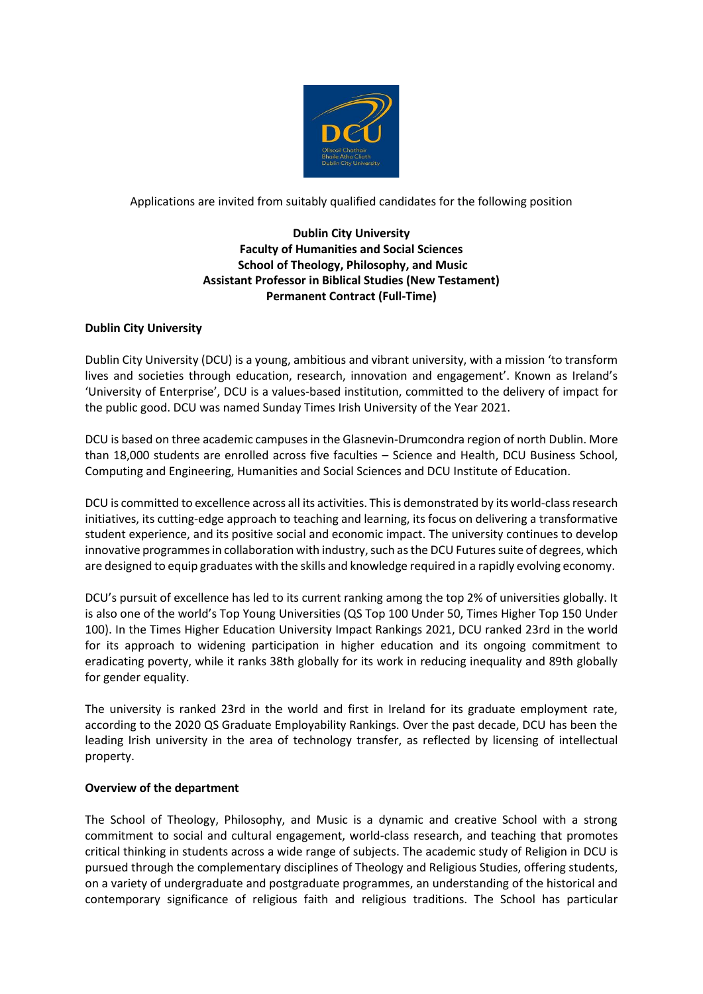

Applications are invited from suitably qualified candidates for the following position

# **Dublin City University Faculty of Humanities and Social Sciences School of Theology, Philosophy, and Music Assistant Professor in Biblical Studies (New Testament) Permanent Contract (Full-Time)**

#### **Dublin City University**

Dublin City University (DCU) is a young, ambitious and vibrant university, with a mission 'to transform lives and societies through education, research, innovation and engagement'. Known as Ireland's 'University of Enterprise', DCU is a values-based institution, committed to the delivery of impact for the public good. DCU was named Sunday Times Irish University of the Year 2021.

DCU is based on three academic campuses in the Glasnevin-Drumcondra region of north Dublin. More than 18,000 students are enrolled across five faculties – Science and Health, DCU Business School, Computing and Engineering, Humanities and Social Sciences and DCU Institute of Education.

DCU is committed to excellence across all its activities. This is demonstrated by its world-class research initiatives, its cutting-edge approach to teaching and learning, its focus on delivering a transformative student experience, and its positive social and economic impact. The university continues to develop innovative programmes in collaboration with industry, such as the DCU Futures suite of degrees, which are designed to equip graduates with the skills and knowledge required in a rapidly evolving economy.

DCU's pursuit of excellence has led to its current ranking among the top 2% of universities globally. It is also one of the world's Top Young Universities (QS Top 100 Under 50, Times Higher Top 150 Under 100). In the Times Higher Education University Impact Rankings 2021, DCU ranked 23rd in the world for its approach to widening participation in higher education and its ongoing commitment to eradicating poverty, while it ranks 38th globally for its work in reducing inequality and 89th globally for gender equality.

The university is ranked 23rd in the world and first in Ireland for its graduate employment rate, according to the 2020 QS Graduate Employability Rankings. Over the past decade, DCU has been the leading Irish university in the area of technology transfer, as reflected by licensing of intellectual property.

#### **Overview of the department**

The School of Theology, Philosophy, and Music is a dynamic and creative School with a strong commitment to social and cultural engagement, world-class research, and teaching that promotes critical thinking in students across a wide range of subjects. The academic study of Religion in DCU is pursued through the complementary disciplines of Theology and Religious Studies, offering students, on a variety of undergraduate and postgraduate programmes, an understanding of the historical and contemporary significance of religious faith and religious traditions. The School has particular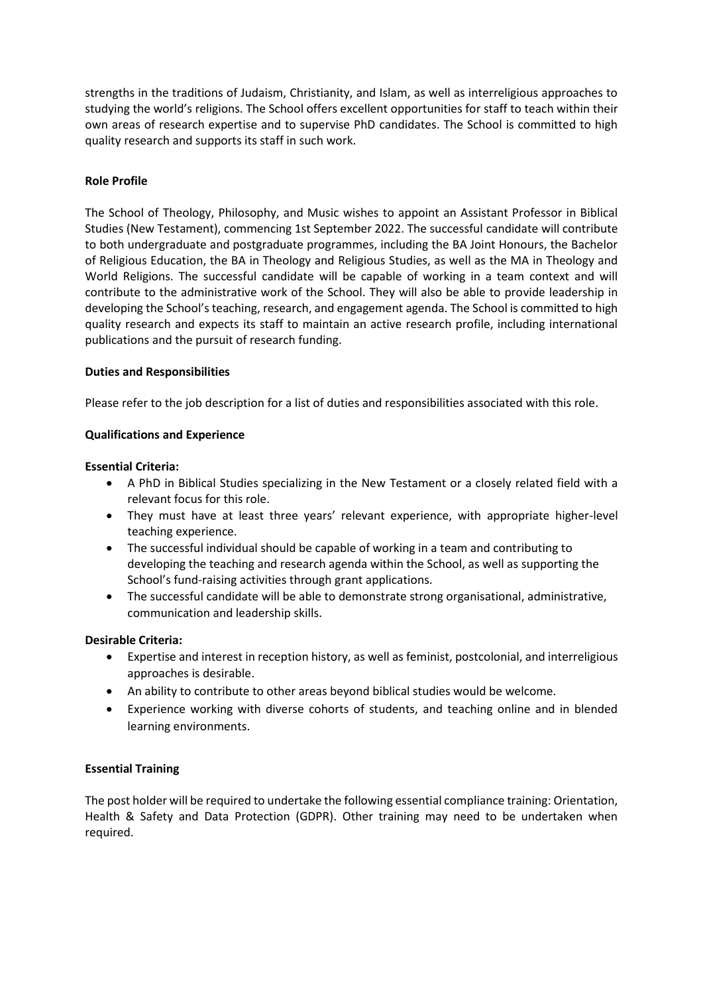strengths in the traditions of Judaism, Christianity, and Islam, as well as interreligious approaches to studying the world's religions. The School offers excellent opportunities for staff to teach within their own areas of research expertise and to supervise PhD candidates. The School is committed to high quality research and supports its staff in such work.

## **Role Profile**

The School of Theology, Philosophy, and Music wishes to appoint an Assistant Professor in Biblical Studies (New Testament), commencing 1st September 2022. The successful candidate will contribute to both undergraduate and postgraduate programmes, including the BA Joint Honours, the Bachelor of Religious Education, the BA in Theology and Religious Studies, as well as the MA in Theology and World Religions. The successful candidate will be capable of working in a team context and will contribute to the administrative work of the School. They will also be able to provide leadership in developing the School's teaching, research, and engagement agenda. The School is committed to high quality research and expects its staff to maintain an active research profile, including international publications and the pursuit of research funding.

#### **Duties and Responsibilities**

Please refer to the job description for a list of duties and responsibilities associated with this role.

### **Qualifications and Experience**

#### **Essential Criteria:**

- A PhD in Biblical Studies specializing in the New Testament or a closely related field with a relevant focus for this role.
- They must have at least three years' relevant experience, with appropriate higher-level teaching experience.
- The successful individual should be capable of working in a team and contributing to developing the teaching and research agenda within the School, as well as supporting the School's fund-raising activities through grant applications.
- The successful candidate will be able to demonstrate strong organisational, administrative, communication and leadership skills.

#### **Desirable Criteria:**

- Expertise and interest in reception history, as well as feminist, postcolonial, and interreligious approaches is desirable.
- An ability to contribute to other areas beyond biblical studies would be welcome.
- Experience working with diverse cohorts of students, and teaching online and in blended learning environments.

# **Essential Training**

The post holder will be required to undertake the following essential compliance training: Orientation, Health & Safety and Data Protection (GDPR). Other training may need to be undertaken when required.